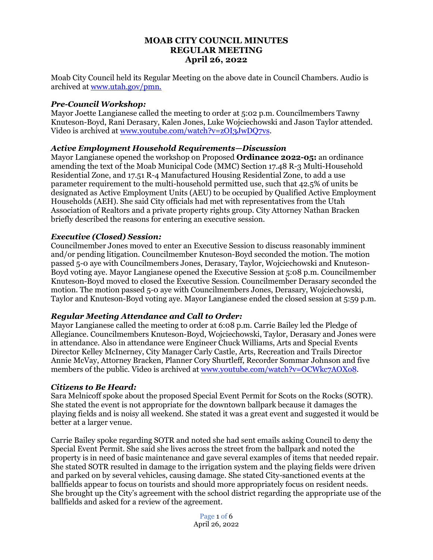# **MOAB CITY COUNCIL MINUTES REGULAR MEETING April 26, 2022**

Moab City Council held its Regular Meeting on the above date in Council Chambers. Audio is archived at [www.utah.gov/pmn.](about:blank)

## *Pre-Council Workshop:*

Mayor Joette Langianese called the meeting to order at 5:02 p.m. Councilmembers Tawny Knuteson-Boyd, Rani Derasary, Kalen Jones, Luke Wojciechowski and Jason Taylor attended. Video is archived at [www.youtube.com/watch?v=zOI3JwDQ7vs.](http://www.youtube.com/watch?v=zOI3JwDQ7vs)

## *Active Employment Household Requirements—Discussion*

Mayor Langianese opened the workshop on Proposed **Ordinance 2022-05:** an ordinance amending the text of the Moab Municipal Code (MMC) Section 17.48 R-3 Multi-Household Residential Zone, and 17.51 R-4 Manufactured Housing Residential Zone, to add a use parameter requirement to the multi-household permitted use, such that 42.5% of units be designated as Active Employment Units (AEU) to be occupied by Qualified Active Employment Households (AEH). She said City officials had met with representatives from the Utah Association of Realtors and a private property rights group. City Attorney Nathan Bracken briefly described the reasons for entering an executive session.

# *Executive (Closed) Session:*

Councilmember Jones moved to enter an Executive Session to discuss reasonably imminent and/or pending litigation. Councilmember Knuteson-Boyd seconded the motion. The motion passed 5-0 aye with Councilmembers Jones, Derasary, Taylor, Wojciechowski and Knuteson-Boyd voting aye. Mayor Langianese opened the Executive Session at 5:08 p.m. Councilmember Knuteson-Boyd moved to closed the Executive Session. Councilmember Derasary seconded the motion. The motion passed 5-0 aye with Councilmembers Jones, Derasary, Wojciechowski, Taylor and Knuteson-Boyd voting aye. Mayor Langianese ended the closed session at 5:59 p.m.

## *Regular Meeting Attendance and Call to Order:*

Mayor Langianese called the meeting to order at 6:08 p.m. Carrie Bailey led the Pledge of Allegiance. Councilmembers Knuteson-Boyd, Wojciechowski, Taylor, Derasary and Jones were in attendance. Also in attendance were Engineer Chuck Williams, Arts and Special Events Director Kelley McInerney, City Manager Carly Castle, Arts, Recreation and Trails Director Annie McVay, Attorney Bracken, Planner Cory Shurtleff, Recorder Sommar Johnson and five members of the public. Video is archived at [www.youtube.com/watch?v=OCWkc7AOXo8.](http://www.youtube.com/watch?v=OCWkc7AOXo8)

## *Citizens to Be Heard:*

Sara Melnicoff spoke about the proposed Special Event Permit for Scots on the Rocks (SOTR). She stated the event is not appropriate for the downtown ballpark because it damages the playing fields and is noisy all weekend. She stated it was a great event and suggested it would be better at a larger venue.

Carrie Bailey spoke regarding SOTR and noted she had sent emails asking Council to deny the Special Event Permit. She said she lives across the street from the ballpark and noted the property is in need of basic maintenance and gave several examples of items that needed repair. She stated SOTR resulted in damage to the irrigation system and the playing fields were driven and parked on by several vehicles, causing damage. She stated City-sanctioned events at the ballfields appear to focus on tourists and should more appropriately focus on resident needs. She brought up the City's agreement with the school district regarding the appropriate use of the ballfields and asked for a review of the agreement.

> Page 1 of 6 April 26, 2022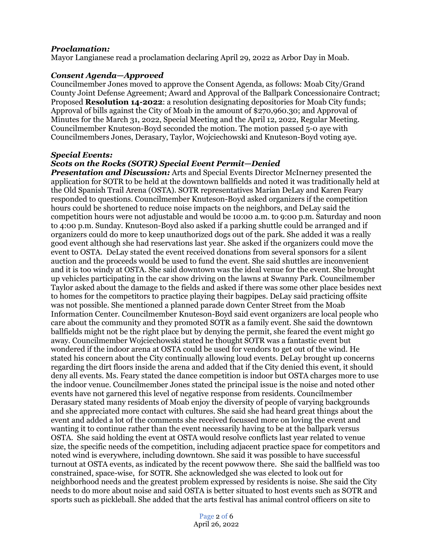#### *Proclamation:*

Mayor Langianese read a proclamation declaring April 29, 2022 as Arbor Day in Moab.

#### *Consent Agenda—Approved*

Councilmember Jones moved to approve the Consent Agenda, as follows: Moab City/Grand County Joint Defense Agreement; Award and Approval of the Ballpark Concessionaire Contract; Proposed **Resolution 14-2022**: a resolution designating depositories for Moab City funds; Approval of bills against the City of Moab in the amount of \$270,960.30; and Approval of Minutes for the March 31, 2022, Special Meeting and the April 12, 2022, Regular Meeting. Councilmember Knuteson-Boyd seconded the motion. The motion passed 5-0 aye with Councilmembers Jones, Derasary, Taylor, Wojciechowski and Knuteson-Boyd voting aye.

#### *Special Events:*

#### *Scots on the Rocks (SOTR) Special Event Permit—Denied*

*Presentation and Discussion:* Arts and Special Events Director McInerney presented the application for SOTR to be held at the downtown ballfields and noted it was traditionally held at the Old Spanish Trail Arena (OSTA). SOTR representatives Marian DeLay and Karen Feary responded to questions. Councilmember Knuteson-Boyd asked organizers if the competition hours could be shortened to reduce noise impacts on the neighbors, and DeLay said the competition hours were not adjustable and would be 10:00 a.m. to 9:00 p.m. Saturday and noon to 4:00 p.m. Sunday. Knuteson-Boyd also asked if a parking shuttle could be arranged and if organizers could do more to keep unauthorized dogs out of the park. She added it was a really good event although she had reservations last year. She asked if the organizers could move the event to OSTA. DeLay stated the event received donations from several sponsors for a silent auction and the proceeds would be used to fund the event. She said shuttles are inconvenient and it is too windy at OSTA. She said downtown was the ideal venue for the event. She brought up vehicles participating in the car show driving on the lawns at Swanny Park. Councilmember Taylor asked about the damage to the fields and asked if there was some other place besides next to homes for the competitors to practice playing their bagpipes. DeLay said practicing offsite was not possible. She mentioned a planned parade down Center Street from the Moab Information Center. Councilmember Knuteson-Boyd said event organizers are local people who care about the community and they promoted SOTR as a family event. She said the downtown ballfields might not be the right place but by denying the permit, she feared the event might go away. Councilmember Wojciechowski stated he thought SOTR was a fantastic event but wondered if the indoor arena at OSTA could be used for vendors to get out of the wind. He stated his concern about the City continually allowing loud events. DeLay brought up concerns regarding the dirt floors inside the arena and added that if the City denied this event, it should deny all events. Ms. Feary stated the dance competition is indoor but OSTA charges more to use the indoor venue. Councilmember Jones stated the principal issue is the noise and noted other events have not garnered this level of negative response from residents. Councilmember Derasary stated many residents of Moab enjoy the diversity of people of varying backgrounds and she appreciated more contact with cultures. She said she had heard great things about the event and added a lot of the comments she received focussed more on loving the event and wanting it to continue rather than the event necessarily having to be at the ballpark versus OSTA. She said holding the event at OSTA would resolve conflicts last year related to venue size, the specific needs of the competition, including adjacent practice space for competitors and noted wind is everywhere, including downtown. She said it was possible to have successful turnout at OSTA events, as indicated by the recent powwow there. She said the ballfield was too constrained, space-wise, for SOTR. She acknowledged she was elected to look out for neighborhood needs and the greatest problem expressed by residents is noise. She said the City needs to do more about noise and said OSTA is better situated to host events such as SOTR and sports such as pickleball. She added that the arts festival has animal control officers on site to

> Page 2 of 6 April 26, 2022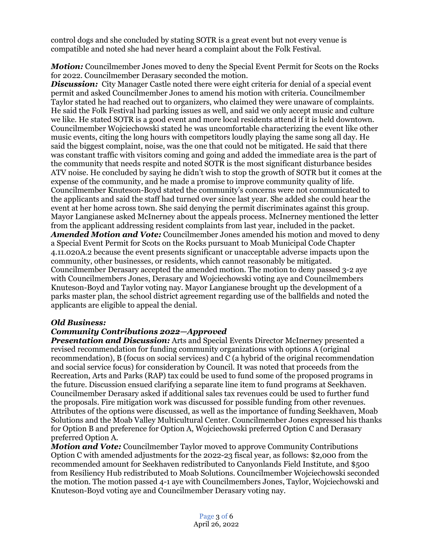control dogs and she concluded by stating SOTR is a great event but not every venue is compatible and noted she had never heard a complaint about the Folk Festival.

*Motion:* Councilmember Jones moved to deny the Special Event Permit for Scots on the Rocks for 2022. Councilmember Derasary seconded the motion.

**Discussion:** City Manager Castle noted there were eight criteria for denial of a special event permit and asked Councilmember Jones to amend his motion with criteria. Councilmember Taylor stated he had reached out to organizers, who claimed they were unaware of complaints. He said the Folk Festival had parking issues as well, and said we only accept music and culture we like. He stated SOTR is a good event and more local residents attend if it is held downtown. Councilmember Wojciechowski stated he was uncomfortable characterizing the event like other music events, citing the long hours with competitors loudly playing the same song all day. He said the biggest complaint, noise, was the one that could not be mitigated. He said that there was constant traffic with visitors coming and going and added the immediate area is the part of the community that needs respite and noted SOTR is the most significant disturbance besides ATV noise. He concluded by saying he didn't wish to stop the growth of SOTR but it comes at the expense of the community, and he made a promise to improve community quality of life. Councilmember Knuteson-Boyd stated the community's concerns were not communicated to the applicants and said the staff had turned over since last year. She added she could hear the event at her home across town. She said denying the permit discriminates against this group. Mayor Langianese asked McInerney about the appeals process. McInerney mentioned the letter from the applicant addressing resident complaints from last year, included in the packet. *Amended Motion and Vote:* Councilmember Jones amended his motion and moved to deny a Special Event Permit for Scots on the Rocks pursuant to Moab Municipal Code Chapter 4.11.020A.2 because the event presents significant or unacceptable adverse impacts upon the community, other businesses, or residents, which cannot reasonably be mitigated. Councilmember Derasary accepted the amended motion. The motion to deny passed 3-2 aye with Councilmembers Jones, Derasary and Wojciechowski voting aye and Councilmembers Knuteson-Boyd and Taylor voting nay. Mayor Langianese brought up the development of a parks master plan, the school district agreement regarding use of the ballfields and noted the applicants are eligible to appeal the denial.

## *Old Business:*

## *Community Contributions 2022—Approved*

*Presentation and Discussion:* Arts and Special Events Director McInerney presented a revised recommendation for funding community organizations with options A (original recommendation), B (focus on social services) and  $\overline{C}$  (a hybrid of the original recommendation and social service focus) for consideration by Council. It was noted that proceeds from the Recreation, Arts and Parks (RAP) tax could be used to fund some of the proposed programs in the future. Discussion ensued clarifying a separate line item to fund programs at Seekhaven. Councilmember Derasary asked if additional sales tax revenues could be used to further fund the proposals. Fire mitigation work was discussed for possible funding from other revenues. Attributes of the options were discussed, as well as the importance of funding Seekhaven, Moab Solutions and the Moab Valley Multicultural Center. Councilmember Jones expressed his thanks for Option B and preference for Option A, Wojciechowski preferred Option C and Derasary preferred Option A.

*Motion and Vote:* Councilmember Taylor moved to approve Community Contributions Option C with amended adjustments for the 2022-23 fiscal year, as follows: \$2,000 from the recommended amount for Seekhaven redistributed to Canyonlands Field Institute, and \$500 from Resiliency Hub redistributed to Moab Solutions. Councilmember Wojciechowski seconded the motion. The motion passed 4-1 aye with Councilmembers Jones, Taylor, Wojciechowski and Knuteson-Boyd voting aye and Councilmember Derasary voting nay.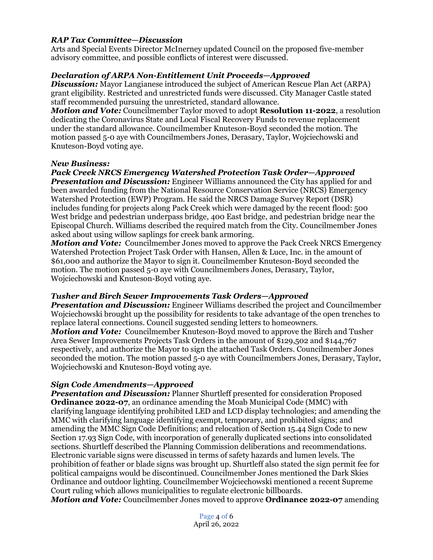# *RAP Tax Committee—Discussion*

Arts and Special Events Director McInerney updated Council on the proposed five-member advisory committee, and possible conflicts of interest were discussed.

# *Declaration of ARPA Non-Entitlement Unit Proceeds—Approved*

*Discussion:* Mayor Langianese introduced the subject of American Rescue Plan Act (ARPA) grant eligibility. Restricted and unrestricted funds were discussed. City Manager Castle stated staff recommended pursuing the unrestricted, standard allowance.

*Motion and Vote:* Councilmember Taylor moved to adopt **Resolution 11-2022**, a resolution dedicating the Coronavirus State and Local Fiscal Recovery Funds to revenue replacement under the standard allowance. Councilmember Knuteson-Boyd seconded the motion. The motion passed 5-0 aye with Councilmembers Jones, Derasary, Taylor, Wojciechowski and Knuteson-Boyd voting aye.

#### *New Business:*

# *Pack Creek NRCS Emergency Watershed Protection Task Order—Approved*

*Presentation and Discussion:* Engineer Williams announced the City has applied for and been awarded funding from the National Resource Conservation Service (NRCS) Emergency Watershed Protection (EWP) Program. He said the NRCS Damage Survey Report (DSR) includes funding for projects along Pack Creek which were damaged by the recent flood: 500 West bridge and pedestrian underpass bridge, 400 East bridge, and pedestrian bridge near the Episcopal Church. Williams described the required match from the City. Councilmember Jones asked about using willow saplings for creek bank armoring.

*Motion and Vote:* Councilmember Jones moved to approve the Pack Creek NRCS Emergency Watershed Protection Project Task Order with Hansen, Allen & Luce, Inc. in the amount of \$61,000 and authorize the Mayor to sign it. Councilmember Knuteson-Boyd seconded the motion. The motion passed 5-0 aye with Councilmembers Jones, Derasary, Taylor, Wojciechowski and Knuteson-Boyd voting aye.

## *Tusher and Birch Sewer Improvements Task Orders—Approved*

*Presentation and Discussion:* Engineer Williams described the project and Councilmember Wojciechowski brought up the possibility for residents to take advantage of the open trenches to replace lateral connections. Council suggested sending letters to homeowners. *Motion and Vote:* Councilmember Knuteson-Boyd moved to approve the Birch and Tusher Area Sewer Improvements Projects Task Orders in the amount of \$129,502 and \$144,767 respectively, and authorize the Mayor to sign the attached Task Orders. Councilmember Jones seconded the motion. The motion passed 5-0 aye with Councilmembers Jones, Derasary, Taylor, Wojciechowski and Knuteson-Boyd voting aye.

## *Sign Code Amendments—Approved*

*Presentation and Discussion:* Planner Shurtleff presented for consideration Proposed **Ordinance 2022-07**, an ordinance amending the Moab Municipal Code (MMC) with clarifying language identifying prohibited LED and LCD display technologies; and amending the MMC with clarifying language identifying exempt, temporary, and prohibited signs; and amending the MMC Sign Code Definitions; and relocation of Section 15.44 Sign Code to new Section 17.93 Sign Code, with incorporation of generally duplicated sections into consolidated sections. Shurtleff described the Planning Commission deliberations and recommendations. Electronic variable signs were discussed in terms of safety hazards and lumen levels. The prohibition of feather or blade signs was brought up. Shurtleff also stated the sign permit fee for political campaigns would be discontinued. Councilmember Jones mentioned the Dark Skies Ordinance and outdoor lighting. Councilmember Wojciechowski mentioned a recent Supreme Court ruling which allows municipalities to regulate electronic billboards.

*Motion and Vote:* Councilmember Jones moved to approve **Ordinance 2022-07** amending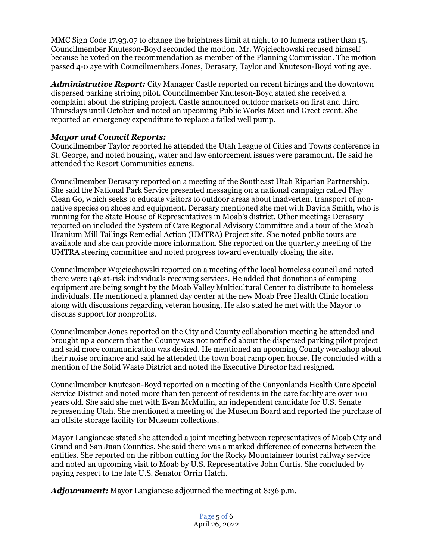MMC Sign Code 17.93.07 to change the brightness limit at night to 10 lumens rather than 15. Councilmember Knuteson-Boyd seconded the motion. Mr. Wojciechowski recused himself because he voted on the recommendation as member of the Planning Commission. The motion passed 4-0 aye with Councilmembers Jones, Derasary, Taylor and Knuteson-Boyd voting aye.

*Administrative Report:* City Manager Castle reported on recent hirings and the downtown dispersed parking striping pilot. Councilmember Knuteson-Boyd stated she received a complaint about the striping project. Castle announced outdoor markets on first and third Thursdays until October and noted an upcoming Public Works Meet and Greet event. She reported an emergency expenditure to replace a failed well pump.

# *Mayor and Council Reports:*

Councilmember Taylor reported he attended the Utah League of Cities and Towns conference in St. George, and noted housing, water and law enforcement issues were paramount. He said he attended the Resort Communities caucus.

Councilmember Derasary reported on a meeting of the Southeast Utah Riparian Partnership. She said the National Park Service presented messaging on a national campaign called Play Clean Go, which seeks to educate visitors to outdoor areas about inadvertent transport of nonnative species on shoes and equipment. Derasary mentioned she met with Davina Smith, who is running for the State House of Representatives in Moab's district. Other meetings Derasary reported on included the System of Care Regional Advisory Committee and a tour of the Moab Uranium Mill Tailings Remedial Action (UMTRA) Project site. She noted public tours are available and she can provide more information. She reported on the quarterly meeting of the UMTRA steering committee and noted progress toward eventually closing the site.

Councilmember Wojciechowski reported on a meeting of the local homeless council and noted there were 146 at-risk individuals receiving services. He added that donations of camping equipment are being sought by the Moab Valley Multicultural Center to distribute to homeless individuals. He mentioned a planned day center at the new Moab Free Health Clinic location along with discussions regarding veteran housing. He also stated he met with the Mayor to discuss support for nonprofits.

Councilmember Jones reported on the City and County collaboration meeting he attended and brought up a concern that the County was not notified about the dispersed parking pilot project and said more communication was desired. He mentioned an upcoming County workshop about their noise ordinance and said he attended the town boat ramp open house. He concluded with a mention of the Solid Waste District and noted the Executive Director had resigned.

Councilmember Knuteson-Boyd reported on a meeting of the Canyonlands Health Care Special Service District and noted more than ten percent of residents in the care facility are over 100 years old. She said she met with Evan McMullin, an independent candidate for U.S. Senate representing Utah. She mentioned a meeting of the Museum Board and reported the purchase of an offsite storage facility for Museum collections.

Mayor Langianese stated she attended a joint meeting between representatives of Moab City and Grand and San Juan Counties. She said there was a marked difference of concerns between the entities. She reported on the ribbon cutting for the Rocky Mountaineer tourist railway service and noted an upcoming visit to Moab by U.S. Representative John Curtis. She concluded by paying respect to the late U.S. Senator Orrin Hatch.

*Adjournment:* Mayor Langianese adjourned the meeting at 8:36 p.m.